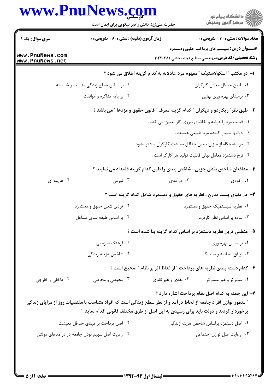|                                    | www.PnuNews.com<br>حضرت علی(ع): دانش راهبر نیکویی برای ایمان است                                                      |                    | ِ<br>∭ دانشڪاه پيام نور<br>∭ مرڪز آزمون وسنڊش                                                                    |
|------------------------------------|-----------------------------------------------------------------------------------------------------------------------|--------------------|------------------------------------------------------------------------------------------------------------------|
| <b>سری سوال :</b> یک ۱             | <b>زمان آزمون (دقیقه) : تستی : 60 ٪ تشریحی : 0</b>                                                                    |                    | <b>تعداد سوالات : تستی : 30 ٪ تشریحی : 0</b>                                                                     |
| www.PnuNews.com<br>www.PnuNews.net |                                                                                                                       |                    | <b>عنـــوان درس:</b> سیستم های پرداخت حقوق ودستمزد<br><b>رشته تحصیلی/کد درس:</b> مهندسی صنایع (چندبخشی ) ۱۱۲۲۰۲۸ |
|                                    |                                                                                                                       |                    | ا– در مکتب ″ اسکولاستیک ″ مفهوم مزد عادلانه به کدام گزینه اطلاق می شود ؟                                         |
|                                    | ۰۲ بر اساس سطح زندگی مناسب و شایسته                                                                                   |                    | ۰۱ تامین حداقل معاش کارگران                                                                                      |
|                                    | ۰۴ بر پایه مذاکره و موافقت                                                                                            |                    | ۰۳ برمبنای بهره وری نهایی                                                                                        |
|                                    |                                                                                                                       |                    | ۲- طبق نظر ؒ ریکاردو و دیگران ؒ کدام گزینه معرف ؒ قانون حقوق و مزدها ؒ می باشد ؟                                 |
|                                    |                                                                                                                       |                    | ۰۱ قیمت مزد را عرضه و تقاضای نیروی کار تعیین می کند .                                                            |
|                                    |                                                                                                                       |                    | ۰۲ دولتها تعيين كننده مزد طبيعي هستند .                                                                          |
|                                    |                                                                                                                       |                    | ۰۳ مزد هیچگاه از میزان تامین حداقل معیشت کارگران بیشتر نشود .                                                    |
|                                    |                                                                                                                       |                    | ۰۴ نرخ دستمزد معادل بهای قابلیت تولید هر کارگر است .                                                             |
|                                    |                                                                                                                       |                    | ۳- مدافعان شاخص بندی جزیی ، شاخص بندی را طبق کدام گزینه قلمداد می نمایند ؟                                       |
| ۰۴ هزينه اي                        | ۰۳ تورمی $\cdot$                                                                                                      | ۰۲ درآمدی          | ۰۱ رکودی                                                                                                         |
|                                    |                                                                                                                       |                    | ۴– در دنیای پست مدرن ، نظریه های حقوق و دستمزد شامل کدام گزینه است ؟                                             |
|                                    | ۰۲ فردی شدن حقوق و دستمزد                                                                                             |                    | ۰۱ نظریه سیستمیک حقوق و دستمزد                                                                                   |
|                                    | ۰۴ بر اساس طبقه بندی مشاغل                                                                                            |                    | ۰۳ ساده بر اساس نظر کارفرما                                                                                      |
|                                    |                                                                                                                       |                    | ۵– منطقی ترین نظریه دستمزد بر اساس کدام گزینه بنا شده است ؟                                                      |
|                                    | ۰۲ فرهنگ سازمانی                                                                                                      |                    | ٠١. بر اساس بهره وري                                                                                             |
|                                    | ۰۴ شاخص هزینه زندگی                                                                                                   |                    | ۰۳ توافق اتحادیه و سندیکا                                                                                        |
|                                    |                                                                                                                       |                    | ۶– کدام دسته بندی نظریه های پرداخت ″ از لحاظ اثر بر نظام ″ صحیح است ؟                                            |
| ۰۴ داخلي و خارجي                   | ۰۳ محیطی و محاطی                                                                                                      | ۰۲ نقدی و غیر نقدی | ۰۱ متمرکز و غیر متمرکز                                                                                           |
|                                    |                                                                                                                       |                    | ۷- این جمله به کدام اصل نظام پرداخت اشاره دارد ؟                                                                 |
|                                    | <b>" منظور توازن افراد جامعه از لحاظ در آمد و از نظر سطح زندگی است که افراد متناسب با مقتضیات روز از مزایای زندگی</b> |                    |                                                                                                                  |
|                                    | برخوردار گردند و دولت باید برای رسیدن به این اصل از طرق مختلف قانونی اقدام نماید ."                                   |                    |                                                                                                                  |
|                                    | ۰۲ اصل پرداخت بر مبنای حداقل معیشت                                                                                    |                    | ۰۱ اصل دستمزد براساس شاخص هزینه زندگی                                                                            |
|                                    | ۰۴ رعایت اصل سهیم بودن جامعه در درآمدهای دولتی                                                                        |                    | ۰۳ رعایت اصل توازن اجتماعی                                                                                       |
|                                    |                                                                                                                       |                    |                                                                                                                  |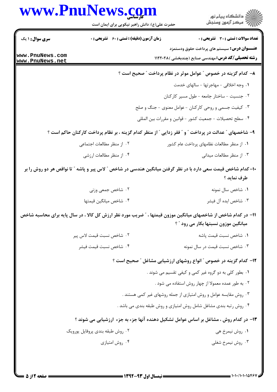|                                    | www.PnuNews.com<br>حضرت علی(ع): دانش راهبر نیکویی برای ایمان است                                               | ڪ دانشڪاه پيا <sub>م</sub> نور<br>۾ سرڪز آزمون وسنڊش                                                            |
|------------------------------------|----------------------------------------------------------------------------------------------------------------|-----------------------------------------------------------------------------------------------------------------|
| <b>سری سوال : ۱ یک</b>             | <b>زمان آزمون (دقیقه) : تستی : 60 ٪ تشریحی : 0</b>                                                             | <b>تعداد سوالات : تستی : 30 ٪ تشریحی : 0</b>                                                                    |
| www.PnuNews.com<br>www.PnuNews.net |                                                                                                                | <b>عنـــوان درس:</b> سیستم های پرداخت حقوق ودستمزد<br><b>رشته تحصیلی/کد درس:</b> مهندسی صنایع (چندبخشی )۱۱۲۲۰۲۸ |
|                                    |                                                                                                                | ۸– کدام گزینه در خصوص ″ عوامل موثر در نظام پرداخت ″ صحیح است ؟                                                  |
|                                    |                                                                                                                | ٠١ وجه اخلاقي - مهاجرتها - سالهاى خدمت                                                                          |
|                                    |                                                                                                                | ۰۲ جنسیت - ساختار جامعه - طول مسیر کارکنان                                                                      |
|                                    |                                                                                                                | ۰۳ کیفیت جسمی و روحی کارکنان - عوامل معنوی - جنگ و صلح                                                          |
|                                    |                                                                                                                | ۰۴ سطح تحصیلات - جمعیت کشور - قوانین و مقررات بین المللی                                                        |
|                                    | ۹- شاخصهای ″ عدالت در پرداخت ″ و ″ فقر زدایی ″ از منظر کدام گزینه ، بر نظام پرداخت کارکنان حاکم است ؟          |                                                                                                                 |
|                                    | ۰۲ از منظر مطالعات اجتماعی                                                                                     | ۰۱ از منظر مطالعات نظامهای پرداخت عام کشور                                                                      |
|                                    | ۰۴ از منظر مطالعات ارزشي                                                                                       | ۰۳ از منظر مطالعات میدانی                                                                                       |
|                                    | +۱- کدام شاخص قیمت سعی دارد با در نظر گرفتن میانگین هندسی در شاخص " لاس پیر و پاشه " تا نواقص هر دو روش را بر  | طرف نمايد ؟                                                                                                     |
|                                    | ۰۲ شاخص جمعی وزنی                                                                                              | ٠١ شاخص سال نمونه                                                                                               |
|                                    | ۰۴ شاخص ميانگين قيمتها                                                                                         | ۰۳ شاخص ايده آل فيشر                                                                                            |
|                                    | 1۱– در کدام شاخص از شاخصهای میانگین موزون قیمتها ، ″ ضریب مورد نظر ارزش کل کالا ، در سال پایه برای محاسبه شاخص | میانگین موزون نسبتها بکار می رود " ؟                                                                            |
|                                    | ٠٢ شاخص نسبت قيمت لاس پير                                                                                      | ٠١. شاخص نسبت قيمت ياشه                                                                                         |
|                                    | ۰۴ شاخص نسبت قيمت فيشر                                                                                         | ۰۳ شاخص نسبت قیمت در سال نمونه                                                                                  |
|                                    |                                                                                                                | ۱۲- کدام گزینه در خصوص " انواع روشهای ارزشیابی مشاغل " صحیح است ؟                                               |
|                                    |                                                                                                                | ۰۱ بطور کلی به دو گروه غیر کمی و کیفی تقسیم می شوند .                                                           |
|                                    |                                                                                                                | ۰۲ به طور عمده معمولا از چهار روش استفاده می شود .                                                              |
|                                    |                                                                                                                | ۰۳ روش مقایسه عوامل و روش امتیازی از جمله روشهای غیر کمی هستند .                                                |
|                                    |                                                                                                                | ۰۴ روش رتبه بندی مشاغل شامل روش امتیازی و روش طبقه بندی می باشد .                                               |
|                                    | ۱۳– در کدام روش ، مشاغل بر اساس عوامل تشکیل دهنده آنها جزء به جزء ارزشیابی می شوند ؟                           |                                                                                                                 |
|                                    | ۰۲ روش طبقه بندی پروفایل پورویک                                                                                | ۰۱ روش نیمرخ هی                                                                                                 |
|                                    | ۰۴ روش امتيازي                                                                                                 | ۰۳ روش نیمرخ شغلی                                                                                               |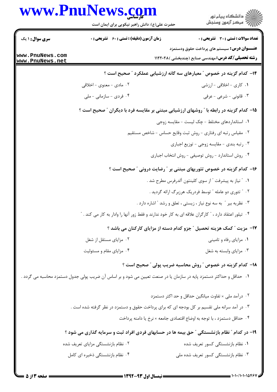# www.PnuNews.com حضرت علی(ع): دانش راهبر نیکویی برای ایمان است **سری سوال : ۱ یک زمان آزمون (دقیقه) : تستی : 60 ٪ تشریحی : 0**

**عنـــوان درس:** سیستم های پرداخت حقوق ودستمزد **رشته تحصیلی/کد درس:** مهندسی صنایع (چندبخشی )۱۱۲۲۰۲۸

اران<br>اران دانشگاه پيام نور<br>اران مرکز آزمون وسنجش

**تعداد سوالات : تستی : 30 ٪ تشریحی : 0** 

www.PnuNews.com www.PnuNews.net

> ۱۴– کدام گزینه در خصوص ″ معیارهای سه گانه ارزشیابی عملکرد ″ صحیح است ؟ ۲. مادی - معنوی - اخلاقی ۰۱ کاری - اخلاقی - ارزشی ۰۴ فردی - سازمانی - ملی ۰۳ قانونی - شرعی - عرفی

## ۱۵- کدام گزینه در رابطه با ″ روشهای ارزشیابی مبتنی بر مقایسه فرد با دیگران ″ صحیح است ؟

- ١. استانداردهای مختلط چک لیست مقایسه زوجی
- ۰۲ مقیاس رتبه ای رفتاری روش ثبت وقایع حساس شاخص مستقیم
	- ۰۳ رتبه بندی مقایسه زوجی توزیع اجباری
	- ۰۴ روش استاندارد روش توصیفی روش انتخاب اجباری

#### ۱۶- کدام گزینه در خصوص تئوریهای مبتنی بر ″ رضایت درونی ″ صحیح است ؟

- ٠١ ″ نياز به پيشرفت ″ از سوى كلينتون آلدرفرس مطرح شد .
	- ۰۲ ″ تئوري دو عامله ″ توسط فردريک هرزبرگ ارائه گرديد .
- ۰۳ نظریه بیر ″ به سه نوع نیاز ، زیستی ، تعلق و رشد ″اشاره دارد .
- ۰۴ تیلور اعتقاد دارد ، ″ کارگران علاقه ای به کار خود ندارند و فقط زور آنها را وادار به کار می کند . ″

#### **۱۷**- مزیت " کمک هزینه تحصیل " جزو کدام دسته از مزایای کارکنان می باشد ؟

۰۲ مزایای مستقل از شغل ۰۱ مزایای رفاه و تامینی ۰۳ مزایای وابسته به شغل ۰۴ مزایای مقام و مسئولیت

### ۱۸− کدام گزینه در خصوص ″ روش محاسبه ضریب پولی ″ صحیح است ؟

۰۱ حداقل و حداکثر دستمزد پایه در سازمان یا در صنعت تعیین می شود و بر اساس آن ضریب پولی جدول دستمزد محاسبه می گردد .

- ۰۲ درآمد ملی × تفاوت میانگین حداقل و حد اکثر دستمزد ۰۳ در آمد سرانه ملی تقسیم بر کل بودجه ای که برای پرداخت حقوق و دستمزد در نظر گرفته شده است . ۰۴ حداقل دستمزد ، با توجه به اوضاع اقتصادی جامعه × نرخ یا دامنه پرداخت ۱۹- در کدام " نظام بازنشستگی " حق بیمه ها در حسابهای فردی افراد ثبت و سرمایه گذاری می شود ؟
- ۲. نظام بازنشستگی مزایای تعریف شده ۰۱ نظام بازنشستگی کسور تعریف شده ۰۴ نظام بازنشستگی ذخیره ای کامل ۰۳ نظام بازنشستگی کسور تعریف شده ملی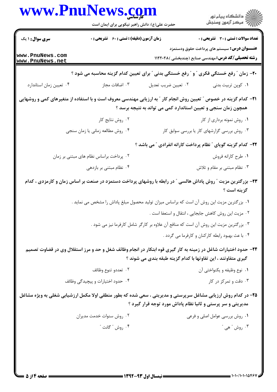|                                    | حضرت علی(ع): دانش راهبر نیکویی برای ایمان است                                        | www.PnuNews.com<br>ِ<br>∭ دانشڪاه پيام نور<br>∭ مرڪز آزمون وسنڊش                                                                                                                            |  |
|------------------------------------|--------------------------------------------------------------------------------------|---------------------------------------------------------------------------------------------------------------------------------------------------------------------------------------------|--|
| <b>سری سوال :</b> ۱ یک             | <b>زمان آزمون (دقیقه) : تستی : 60 ٪ تشریحی : 0</b>                                   | <b>تعداد سوالات : تستي : 30 ٪ تشريحي : 0</b>                                                                                                                                                |  |
| www.PnuNews.com<br>www.PnuNews.net |                                                                                      | <b>عنـــوان درس:</b> سیستم های پرداخت حقوق ودستمزد<br><b>رشته تحصیلی/کد درس:</b> مهندسی صنایع (چندبخشی )۱۱۲۲۰۲۸                                                                             |  |
|                                    |                                                                                      | ۲۰- زمان " رفع خستگی فکری " و " رفع خستگی بدنی " برای تعیین کدام گزینه محاسبه می شود ؟                                                                                                      |  |
| ۰۴ تعیین زمان استاندارد            | ۰۳ اضافات مجاز                                                                       | ۰۱ کوپن تربیت بدنی<br>۰۲ تعيين ضريب تعديل                                                                                                                                                   |  |
|                                    |                                                                                      | <b>۲۱</b> – کدام گزینه در خصوص ″ تعیین روش انجام کار ″ به ارزیابی مهندسی معروف است و با استفاده از متغیرهای کمی و روشهایی<br>همچون زمان سنجی و تعیین استاندارد کمی می تواند به نتیجه برسد ؟ |  |
|                                    | ۰۲ روش نتایج کار                                                                     | ۰۱ روش نمونه برداری از کار                                                                                                                                                                  |  |
|                                    | ۰۴ روش مطالعه زمانی یا زمان سنجی                                                     | ۰۳ روش بررسی گزارشهای کار یا بررسی سوابق کار                                                                                                                                                |  |
|                                    |                                                                                      | <b>۲۲- کدام گزینه گویای ″ نظام پرداخت کارانه انفرادی ″ می باشد</b> ؟                                                                                                                        |  |
|                                    | ۰۲ پرداخت براساس نظام های مبتنی بر زمان                                              | ٠١ طرح كارانه فروش                                                                                                                                                                          |  |
|                                    | ۰۴ نظام مبتنی بر بازدهی                                                              | ۰۳ نظام مبتنی بر مقام و تلاش                                                                                                                                                                |  |
|                                    |                                                                                      | ۲۳- بزرگترین مزیت ″ روش پاداش هالسی ″ در رابطه با روشهای پرداخت دستمزد در صنعت بر اساس زمان و کارمزدی ، کدام<br>گزينه است ؟                                                                 |  |
|                                    |                                                                                      | ۰۱ بزرگترین مزیت این روش آن است که براساس میزان تولید محصول مبلغ پاداش را مشخص می نماید .                                                                                                   |  |
|                                    |                                                                                      | ٠٢ مزيت اين روش كاهش جابجايي ، انتقال و استعفا است .                                                                                                                                        |  |
|                                    | ۰۳ بزرگترین مزیت این روش آن است که منافع آن علاوه بر کارگر شامل کارفرما نیز می شود . |                                                                                                                                                                                             |  |
|                                    |                                                                                      | ۰۴ با عث بهبود رابطه کارکنان و کارفرما می گردد .                                                                                                                                            |  |
|                                    |                                                                                      | ۲۴- حدود اختیارات شاغل در زمینه به کار گیری قوه ابتکار در انجام وظائف شغل و حد و مرز استقلال وی در قضاوت تصمیم<br>گیری متفاوتند ، این تفاوتها با کدام گزینه طبقه بندی می شوند ؟             |  |
|                                    | ۰۲ تعددو تنوع وظائف                                                                  | ۰۱ نوع وظيفه و يكنواختي آن                                                                                                                                                                  |  |
|                                    | ۰۴ حدود اختیارات و پیچیدگی وظائف                                                     | ۰۳ دقت و تمرکز در کار                                                                                                                                                                       |  |
|                                    |                                                                                      | ۲۵- در کدام روش ارزیابی مشاغل سرپرستی و مدیریتی ، سعی شده که بطور منطقی اولا مکمل ارزشیابی شغلی به ویژه مشاغل<br>مدیریتی و سر پرستی و ثانیا نظام پاداش مورد توجه قرار گیرد ؟                |  |
|                                    | ۰۲ روش سنوات خدمت مدیران                                                             | ۰۱ روش بررسی عوامل اصلی و فرعی                                                                                                                                                              |  |
|                                    | ۰۴ روش " گانت "                                                                      | بوش " هي " $\cdot$                                                                                                                                                                          |  |

NT